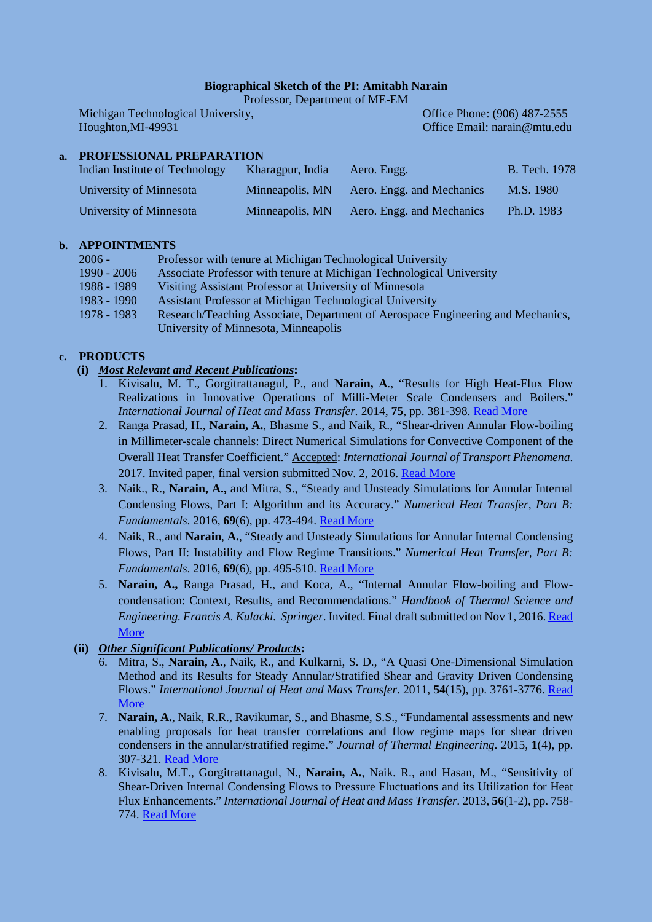#### **Biographical Sketch of the PI: Amitabh Narain**

Professor, Department of ME-EM

Michigan Technological University, Christian Control of the Phone: (906) 487-2555 Houghton,MI-49931 Office Email: [narain@mtu.edu](mailto:narain@mtu.edu)

# **a. PROFESSIONAL PREPARATION**

| Indian Institute of Technology | Kharagpur, India | Aero. Engg.               | <b>B.</b> Tech. 1978 |
|--------------------------------|------------------|---------------------------|----------------------|
| University of Minnesota        | Minneapolis, MN  | Aero. Engg. and Mechanics | M.S. 1980            |
| University of Minnesota        | Minneapolis, MN  | Aero. Engg. and Mechanics | Ph.D. 1983           |

### **b. APPOINTMENTS**

| 2006 -      | Professor with tenure at Michigan Technological University                      |
|-------------|---------------------------------------------------------------------------------|
| 1990 - 2006 | Associate Professor with tenure at Michigan Technological University            |
| 1988 - 1989 | Visiting Assistant Professor at University of Minnesota                         |
| 1983 - 1990 | Assistant Professor at Michigan Technological University                        |
| 1978 - 1983 | Research/Teaching Associate, Department of Aerospace Engineering and Mechanics, |
|             | University of Minnesota, Minneapolis                                            |

# **c. PRODUCTS**

# **(i)** *Most Relevant and Recent Publications***:**

- 1. Kivisalu, M. T., Gorgitrattanagul, P., and **Narain, A**., "Results for High Heat-Flux Flow Realizations in Innovative Operations of Milli-Meter Scale Condensers and Boilers." *International Journal of Heat and Mass Transfer.* 2014, **75**, pp. 381-398. [Read More](http://www.sciencedirect.com/science/article/pii/S0017931014002622)
- 2. Ranga Prasad, H., **Narain, A.**, Bhasme S., and Naik, R., "Shear-driven Annular Flow-boiling in Millimeter-scale channels: Direct Numerical Simulations for Convective Component of the Overall Heat Transfer Coefficient." Accepted: *International Journal of Transport Phenomena*. 2017. Invited paper, final version submitted Nov. 2, 2016. [Read More](file://multidrive.iso.mtu.edu/multidrive/my_web_files/NSF-Project-Data-Dissemination%20Folder/Key%20Publications/IJTP-2016_final_submission.pdf)
- 3. Naik., R., **Narain, A.,** and Mitra, S., "Steady and Unsteady Simulations for Annular Internal Condensing Flows, Part I: Algorithm and its Accuracy." *Numerical Heat Transfer, Part B: Fundamentals*. 2016, **69**(6), pp. 473-494. [Read More](http://www.tandfonline.com/doi/abs/10.1080/10407790.2016.1138802?journalCode=unhb20)
- 4. Naik, R., and **Narain**, **A.**, "Steady and Unsteady Simulations for Annular Internal Condensing Flows, Part II: Instability and Flow Regime Transitions." *Numerical Heat Transfer, Part B: Fundamentals*. 2016, **69**(6), pp. 495-510. [Read More](http://www.tandfonline.com/doi/abs/10.1080/10407790.2016.1138804?journalCode=unhb20)
- 5. **Narain, A.,** Ranga Prasad, H., and Koca, A., "Internal Annular Flow-boiling and Flowcondensation: Context, Results, and Recommendations." *Handbook of Thermal Science and Engineering. Francis A. Kulacki. Springer*. Invited. Final draft submitted on Nov 1, 2016[. Read](file://multidrive.iso.mtu.edu/multidrive/my_web_files/NSF-Project-Data-Dissemination%20Folder/Key%20Publications/Narain-et-al-Springer-Handbook-2016.pdf)  [More](file://multidrive.iso.mtu.edu/multidrive/my_web_files/NSF-Project-Data-Dissemination%20Folder/Key%20Publications/Narain-et-al-Springer-Handbook-2016.pdf)

# **(ii)** *Other Significant Publications/ Products***:**

- 6. Mitra, S., **Narain, A.**, Naik, R., and Kulkarni, S. D., "A Quasi One-Dimensional Simulation Method and its Results for Steady Annular/Stratified Shear and Gravity Driven Condensing Flows." *International Journal of Heat and Mass Transfer*. 2011, **54**(15), pp. 3761-3776. [Read](file://multidrive.iso.mtu.edu/multidrive/my_web_files/NSF-Project-Data-Dissemination%20Folder/Key%20Publications/IJHMT_1D_paper_Narain_G_G10018.pdf)  [More](file://multidrive.iso.mtu.edu/multidrive/my_web_files/NSF-Project-Data-Dissemination%20Folder/Key%20Publications/IJHMT_1D_paper_Narain_G_G10018.pdf)
- 7. **Narain, A.**, Naik, R.R., Ravikumar, S., and Bhasme, S.S., "Fundamental assessments and new enabling proposals for heat transfer correlations and flow regime maps for shear driven condensers in the annular/stratified regime." *Journal of Thermal Engineering*. 2015, **1**(4), pp. 307-321. [Read More](https://www.researchgate.net/publication/277880875_Fundamental_assessments_and_new_enabling_proposals_for_heat_transfer_correlations_and_flow_regime_maps_for_shear_driven_condensers_in_the_annularstratified_regime)
- 8. Kivisalu, M.T., Gorgitrattanagul, N., **Narain, A.**, Naik. R., and Hasan, M., "Sensitivity of Shear-Driven Internal Condensing Flows to Pressure Fluctuations and its Utilization for Heat Flux Enhancements." *International Journal of Heat and Mass Transfer.* 2013, **56**(1-2), pp. 758- 774. [Read More](http://www.sciencedirect.com/science/article/pii/S0017931012006886)